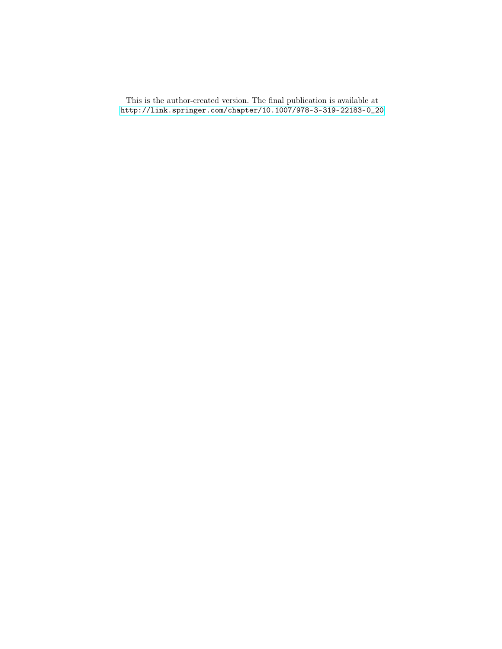This is the author-created version. The final publication is available at [http://link.springer.com/chapter/10.1007/978-3-319-22183-0\\_20](http://link.springer.com/chapter/10.1007/978-3-319-22183-0_20)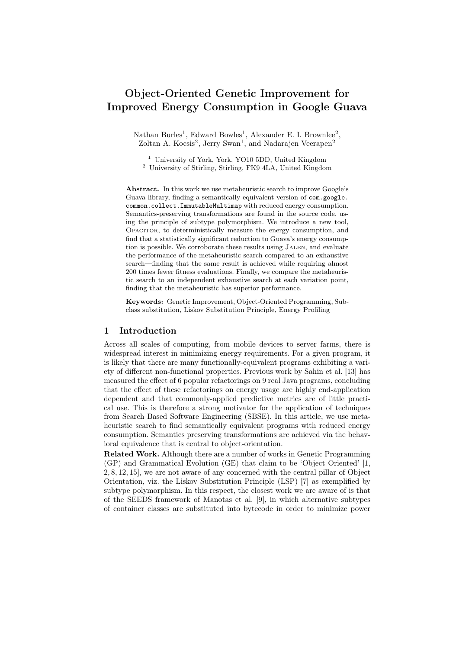# Object-Oriented Genetic Improvement for Improved Energy Consumption in Google Guava

Nathan Burles<sup>1</sup>, Edward Bowles<sup>1</sup>, Alexander E. I. Brownlee<sup>2</sup>, Zoltan A. Kocsis<sup>2</sup>, Jerry Swan<sup>1</sup>, and Nadarajen Veerapen<sup>2</sup>

<sup>1</sup> University of York, York, YO10 5DD, United Kingdom <sup>2</sup> University of Stirling, Stirling, FK9 4LA, United Kingdom

Abstract. In this work we use metaheuristic search to improve Google's Guava library, finding a semantically equivalent version of com.google. common.collect.ImmutableMultimap with reduced energy consumption. Semantics-preserving transformations are found in the source code, using the principle of subtype polymorphism. We introduce a new tool, Opacitor, to deterministically measure the energy consumption, and find that a statistically significant reduction to Guava's energy consumption is possible. We corroborate these results using Jalen, and evaluate the performance of the metaheuristic search compared to an exhaustive search—finding that the same result is achieved while requiring almost 200 times fewer fitness evaluations. Finally, we compare the metaheuristic search to an independent exhaustive search at each variation point, finding that the metaheuristic has superior performance.

Keywords: Genetic Improvement, Object-Oriented Programming, Subclass substitution, Liskov Substitution Principle, Energy Profiling

#### 1 Introduction

Across all scales of computing, from mobile devices to server farms, there is widespread interest in minimizing energy requirements. For a given program, it is likely that there are many functionally-equivalent programs exhibiting a variety of different non-functional properties. Previous work by Sahin et al. [13] has measured the effect of 6 popular refactorings on 9 real Java programs, concluding that the effect of these refactorings on energy usage are highly end-application dependent and that commonly-applied predictive metrics are of little practical use. This is therefore a strong motivator for the application of techniques from Search Based Software Engineering (SBSE). In this article, we use metaheuristic search to find semantically equivalent programs with reduced energy consumption. Semantics preserving transformations are achieved via the behavioral equivalence that is central to object-orientation.

Related Work. Although there are a number of works in Genetic Programming (GP) and Grammatical Evolution (GE) that claim to be 'Object Oriented' [1, 2, 8, 12, 15], we are not aware of any concerned with the central pillar of Object Orientation, viz. the Liskov Substitution Principle (LSP) [7] as exemplified by subtype polymorphism. In this respect, the closest work we are aware of is that of the SEEDS framework of Manotas et al. [9], in which alternative subtypes of container classes are substituted into bytecode in order to minimize power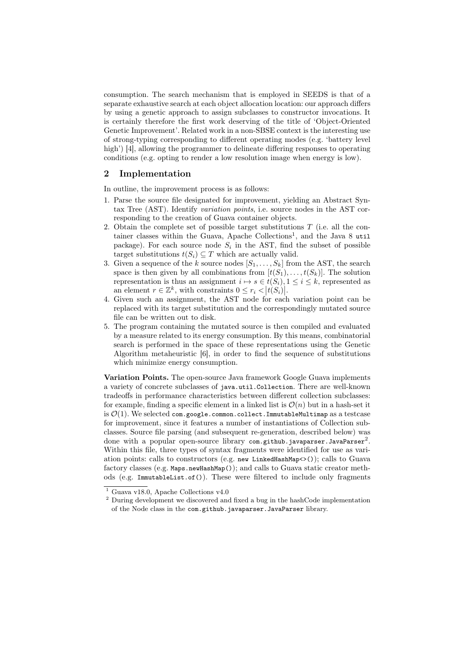consumption. The search mechanism that is employed in SEEDS is that of a separate exhaustive search at each object allocation location: our approach differs by using a genetic approach to assign subclasses to constructor invocations. It is certainly therefore the first work deserving of the title of 'Object-Oriented Genetic Improvement'. Related work in a non-SBSE context is the interesting use of strong-typing corresponding to different operating modes (e.g. 'battery level high') [4], allowing the programmer to delineate differing responses to operating conditions (e.g. opting to render a low resolution image when energy is low).

## 2 Implementation

In outline, the improvement process is as follows:

- 1. Parse the source file designated for improvement, yielding an Abstract Syntax Tree (AST). Identify variation points, i.e. source nodes in the AST corresponding to the creation of Guava container objects.
- 2. Obtain the complete set of possible target substitutions  $T$  (i.e. all the container classes within the Guava, Apache Collections<sup>1</sup>, and the Java 8 util package). For each source node  $S_i$  in the AST, find the subset of possible target substitutions  $t(S_i) \subseteq T$  which are actually valid.
- 3. Given a sequence of the k source nodes  $[S_1, \ldots, S_k]$  from the AST, the search space is then given by all combinations from  $[t(S_1), \ldots, t(S_k)]$ . The solution representation is thus an assignment  $i \mapsto s \in t(S_i), 1 \leq i \leq k$ , represented as an element  $r \in \mathbb{Z}^k$ , with constraints  $0 \leq r_i \leq |t(S_i)|$ .
- 4. Given such an assignment, the AST node for each variation point can be replaced with its target substitution and the correspondingly mutated source file can be written out to disk.
- 5. The program containing the mutated source is then compiled and evaluated by a measure related to its energy consumption. By this means, combinatorial search is performed in the space of these representations using the Genetic Algorithm metaheuristic [6], in order to find the sequence of substitutions which minimize energy consumption.

Variation Points. The open-source Java framework Google Guava implements a variety of concrete subclasses of java.util.Collection. There are well-known tradeoffs in performance characteristics between different collection subclasses: for example, finding a specific element in a linked list is  $\mathcal{O}(n)$  but in a hash-set it is  $\mathcal{O}(1)$ . We selected com.google.common.collect.ImmutableMultimap as a testcase for improvement, since it features a number of instantiations of Collection subclasses. Source file parsing (and subsequent re-generation, described below) was done with a popular open-source library com.github.javaparser.JavaParser $^2.$ Within this file, three types of syntax fragments were identified for use as variation points: calls to constructors (e.g. new LinkedHashMap<>()); calls to Guava factory classes (e.g. Maps.newHashMap()); and calls to Guava static creator methods (e.g. ImmutableList.of()). These were filtered to include only fragments

<sup>&</sup>lt;sup>1</sup> Guava v18.0, Apache Collections v4.0

<sup>&</sup>lt;sup>2</sup> During development we discovered and fixed a bug in the hashCode implementation of the Node class in the com.github.javaparser.JavaParser library.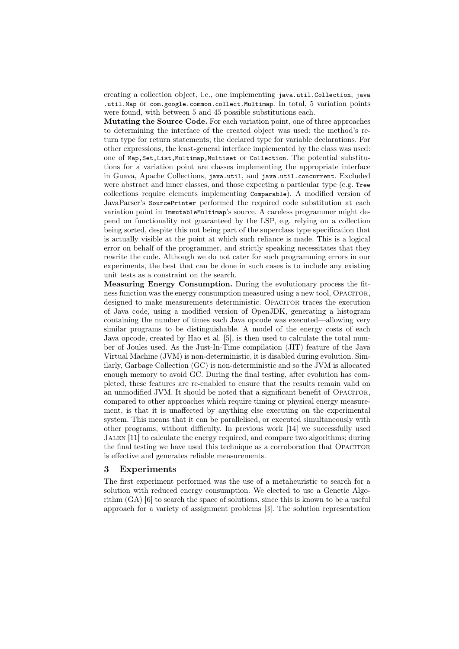creating a collection object, i.e., one implementing java.util.Collection, java .util.Map or com.google.common.collect.Multimap. In total, 5 variation points were found, with between 5 and 45 possible substitutions each.

Mutating the Source Code. For each variation point, one of three approaches to determining the interface of the created object was used: the method's return type for return statements; the declared type for variable declarations. For other expressions, the least-general interface implemented by the class was used: one of Map,Set,List,Multimap,Multiset or Collection. The potential substitutions for a variation point are classes implementing the appropriate interface in Guava, Apache Collections, java.util, and java.util.concurrent. Excluded were abstract and inner classes, and those expecting a particular type (e.g. Tree collections require elements implementing Comparable). A modified version of JavaParser's SourcePrinter performed the required code substitution at each variation point in ImmutableMultimap's source. A careless programmer might depend on functionality not guaranteed by the LSP, e.g. relying on a collection being sorted, despite this not being part of the superclass type specification that is actually visible at the point at which such reliance is made. This is a logical error on behalf of the programmer, and strictly speaking necessitates that they rewrite the code. Although we do not cater for such programming errors in our experiments, the best that can be done in such cases is to include any existing unit tests as a constraint on the search.

Measuring Energy Consumption. During the evolutionary process the fitness function was the energy consumption measured using a new tool, Opacitor, designed to make measurements deterministic. OPACITOR traces the execution of Java code, using a modified version of OpenJDK, generating a histogram containing the number of times each Java opcode was executed—allowing very similar programs to be distinguishable. A model of the energy costs of each Java opcode, created by Hao et al. [5], is then used to calculate the total number of Joules used. As the Just-In-Time compilation (JIT) feature of the Java Virtual Machine (JVM) is non-deterministic, it is disabled during evolution. Similarly, Garbage Collection (GC) is non-deterministic and so the JVM is allocated enough memory to avoid GC. During the final testing, after evolution has completed, these features are re-enabled to ensure that the results remain valid on an unmodified JVM. It should be noted that a significant benefit of OPACITOR, compared to other approaches which require timing or physical energy measurement, is that it is unaffected by anything else executing on the experimental system. This means that it can be parallelised, or executed simultaneously with other programs, without difficulty. In previous work [14] we successfully used Jalen [11] to calculate the energy required, and compare two algorithms; during the final testing we have used this technique as a corroboration that OPACITOR is effective and generates reliable measurements.

## 3 Experiments

The first experiment performed was the use of a metaheuristic to search for a solution with reduced energy consumption. We elected to use a Genetic Algorithm (GA) [6] to search the space of solutions, since this is known to be a useful approach for a variety of assignment problems [3]. The solution representation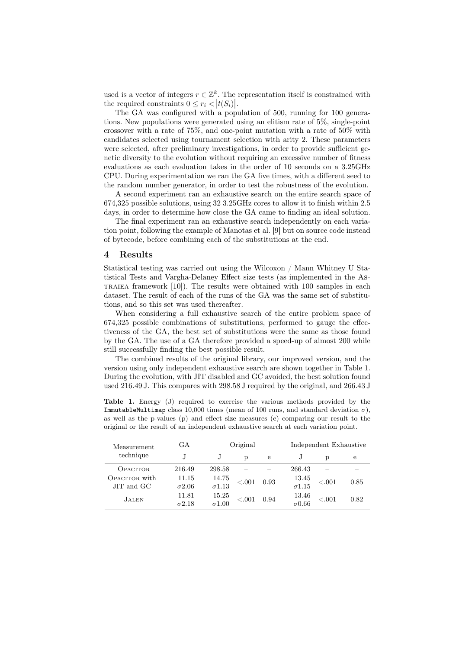used is a vector of integers  $r \in \mathbb{Z}^k$ . The representation itself is constrained with the required constraints  $0 \leq r_i < |t(S_i)|$ .

The GA was configured with a population of 500, running for 100 generations. New populations were generated using an elitism rate of 5%, single-point crossover with a rate of 75%, and one-point mutation with a rate of 50% with candidates selected using tournament selection with arity 2. These parameters were selected, after preliminary investigations, in order to provide sufficient genetic diversity to the evolution without requiring an excessive number of fitness evaluations as each evaluation takes in the order of 10 seconds on a 3.25GHz CPU. During experimentation we ran the GA five times, with a different seed to the random number generator, in order to test the robustness of the evolution.

A second experiment ran an exhaustive search on the entire search space of 674,325 possible solutions, using 32 3.25GHz cores to allow it to finish within 2.5 days, in order to determine how close the GA came to finding an ideal solution.

The final experiment ran an exhaustive search independently on each variation point, following the example of Manotas et al. [9] but on source code instead of bytecode, before combining each of the substitutions at the end.

#### 4 Results

Statistical testing was carried out using the Wilcoxon / Mann Whitney U Statistical Tests and Vargha-Delaney Effect size tests (as implemented in the Astraiea framework [10]). The results were obtained with 100 samples in each dataset. The result of each of the runs of the GA was the same set of substitutions, and so this set was used thereafter.

When considering a full exhaustive search of the entire problem space of 674,325 possible combinations of substitutions, performed to gauge the effectiveness of the GA, the best set of substitutions were the same as those found by the GA. The use of a GA therefore provided a speed-up of almost 200 while still successfully finding the best possible result.

The combined results of the original library, our improved version, and the version using only independent exhaustive search are shown together in Table 1. During the evolution, with JIT disabled and GC avoided, the best solution found used 216.49 J. This compares with 298.58 J required by the original, and 266.43 J

Table 1. Energy (J) required to exercise the various methods provided by the ImmutableMultimap class 10,000 times (mean of 100 runs, and standard deviation  $\sigma$ ), as well as the p-values (p) and effect size measures (e) comparing our result to the original or the result of an independent exhaustive search at each variation point.

| Measurement<br>technique | GА            | Original      |         |      |               | Independent Exhaustive |      |  |
|--------------------------|---------------|---------------|---------|------|---------------|------------------------|------|--|
|                          | J             |               | p       | e    |               | р                      | е    |  |
| <b>OPACITOR</b>          | 216.49        | 298.58        |         |      | 266.43        |                        |      |  |
| OPACITOR with            | 11.15         | 14.75         | < 0.001 | 0.93 | 13.45         | < 0.001                | 0.85 |  |
| $JIT$ and $GC$           | $\sigma$ 2.06 | $\sigma$ 1.13 |         |      | $\sigma$ 1.15 |                        |      |  |
| <b>JALEN</b>             | 11.81         | 15.25         | < 0.001 | 0.94 | 13.46         | < 0.001                | 0.82 |  |
|                          | $\sigma$ 2.18 | $\sigma$ 1.00 |         |      | $\sigma$ 0.66 |                        |      |  |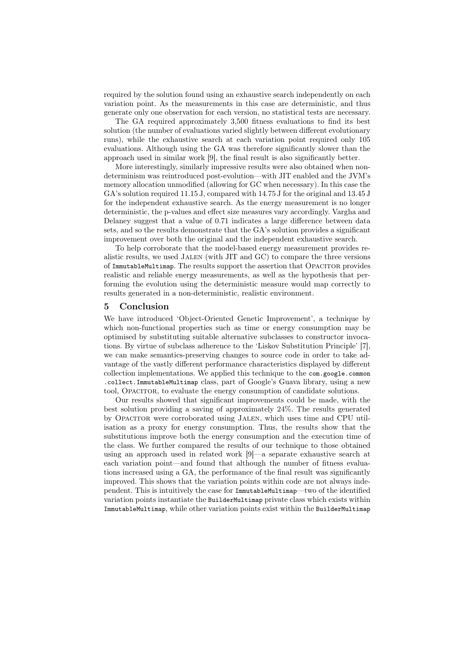required by the solution found using an exhaustive search independently on each variation point. As the measurements in this case are deterministic, and thus generate only one observation for each version, no statistical tests are necessary.

The GA required approximately 3,500 fitness evaluations to find its best solution (the number of evaluations varied slightly between different evolutionary runs), while the exhaustive search at each variation point required only 105 evaluations. Although using the GA was therefore significantly slower than the approach used in similar work [9], the final result is also significantly better.

More interestingly, similarly impressive results were also obtained when nondeterminism was reintroduced post-evolution—with JIT enabled and the JVM's memory allocation unmodified (allowing for GC when necessary). In this case the GA's solution required 11.15 J, compared with 14.75 J for the original and 13.45 J for the independent exhaustive search. As the energy measurement is no longer deterministic, the p-values and effect size measures vary accordingly. Vargha and Delaney suggest that a value of 0.71 indicates a large difference between data sets, and so the results demonstrate that the GA's solution provides a significant improvement over both the original and the independent exhaustive search.

To help corroborate that the model-based energy measurement provides realistic results, we used Jalen (with JIT and GC) to compare the three versions of ImmutableMultimap. The results support the assertion that Opacitor provides realistic and reliable energy measurements, as well as the hypothesis that performing the evolution using the deterministic measure would map correctly to results generated in a non-deterministic, realistic environment.

## 5 Conclusion

We have introduced 'Object-Oriented Genetic Improvement', a technique by which non-functional properties such as time or energy consumption may be optimised by substituting suitable alternative subclasses to constructor invocations. By virtue of subclass adherence to the 'Liskov Substitution Principle' [7], we can make semantics-preserving changes to source code in order to take advantage of the vastly different performance characteristics displayed by different collection implementations. We applied this technique to the com.google.common .collect.ImmutableMultimap class, part of Google's Guava library, using a new tool, OPACITOR, to evaluate the energy consumption of candidate solutions.

Our results showed that significant improvements could be made, with the best solution providing a saving of approximately 24%. The results generated by OPACITOR were corroborated using JALEN, which uses time and CPU utilisation as a proxy for energy consumption. Thus, the results show that the substitutions improve both the energy consumption and the execution time of the class. We further compared the results of our technique to those obtained using an approach used in related work [9]—a separate exhaustive search at each variation point—and found that although the number of fitness evaluations increased using a GA, the performance of the final result was significantly improved. This shows that the variation points within code are not always independent. This is intuitively the case for ImmutableMultimap—two of the identified variation points instantiate the BuilderMultimap private class which exists within ImmutableMultimap, while other variation points exist within the BuilderMultimap